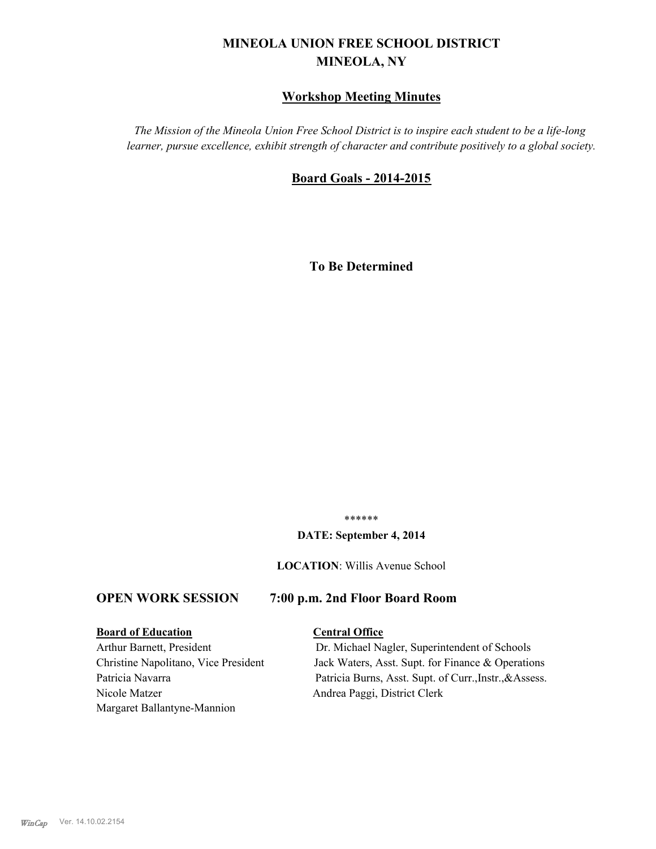# **MINEOLA UNION FREE SCHOOL DISTRICT MINEOLA, NY**

## **Workshop Meeting Minutes**

*The Mission of the Mineola Union Free School District is to inspire each student to be a life-long learner, pursue excellence, exhibit strength of character and contribute positively to a global society.*

## **Board Goals - 2014-2015**

**To Be Determined**

\*\*\*\*\*\*

#### **DATE: September 4, 2014**

**LOCATION**: Willis Avenue School

## **OPEN WORK SESSION 7:00 p.m. 2nd Floor Board Room**

## **Board of Education Central Office**

Nicole Matzer Andrea Paggi, District Clerk Margaret Ballantyne-Mannion

Arthur Barnett, President Dr. Michael Nagler, Superintendent of Schools Christine Napolitano, Vice President Jack Waters, Asst. Supt. for Finance & Operations Patricia Navarra Patricia Burns, Asst. Supt. of Curr., Instr., & Assess.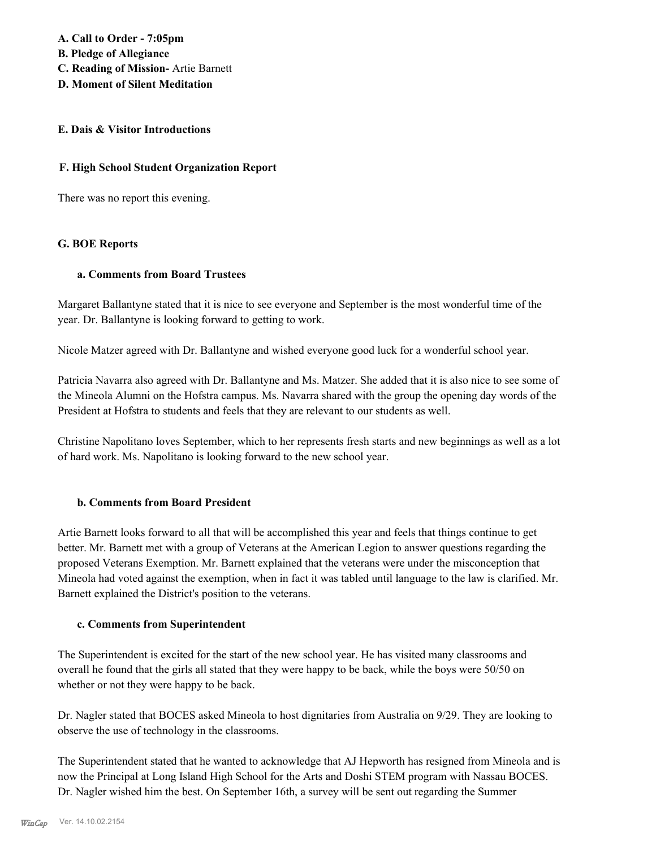**A. Call to Order - 7:05pm B. Pledge of Allegiance C. Reading of Mission-** Artie Barnett **D. Moment of Silent Meditation**

## **E. Dais & Visitor Introductions**

## **F. High School Student Organization Report**

There was no report this evening.

## **G. BOE Reports**

#### **a. Comments from Board Trustees**

Margaret Ballantyne stated that it is nice to see everyone and September is the most wonderful time of the year. Dr. Ballantyne is looking forward to getting to work.

Nicole Matzer agreed with Dr. Ballantyne and wished everyone good luck for a wonderful school year.

Patricia Navarra also agreed with Dr. Ballantyne and Ms. Matzer. She added that it is also nice to see some of the Mineola Alumni on the Hofstra campus. Ms. Navarra shared with the group the opening day words of the President at Hofstra to students and feels that they are relevant to our students as well.

Christine Napolitano loves September, which to her represents fresh starts and new beginnings as well as a lot of hard work. Ms. Napolitano is looking forward to the new school year.

## **b. Comments from Board President**

Artie Barnett looks forward to all that will be accomplished this year and feels that things continue to get better. Mr. Barnett met with a group of Veterans at the American Legion to answer questions regarding the proposed Veterans Exemption. Mr. Barnett explained that the veterans were under the misconception that Mineola had voted against the exemption, when in fact it was tabled until language to the law is clarified. Mr. Barnett explained the District's position to the veterans.

#### **c. Comments from Superintendent**

The Superintendent is excited for the start of the new school year. He has visited many classrooms and overall he found that the girls all stated that they were happy to be back, while the boys were 50/50 on whether or not they were happy to be back.

Dr. Nagler stated that BOCES asked Mineola to host dignitaries from Australia on 9/29. They are looking to observe the use of technology in the classrooms.

The Superintendent stated that he wanted to acknowledge that AJ Hepworth has resigned from Mineola and is now the Principal at Long Island High School for the Arts and Doshi STEM program with Nassau BOCES. Dr. Nagler wished him the best. On September 16th, a survey will be sent out regarding the Summer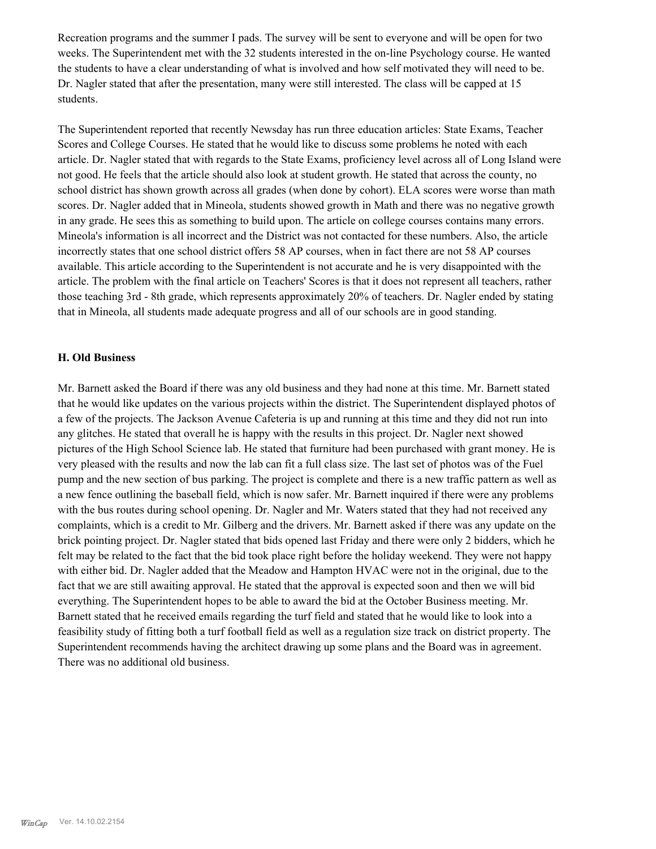Recreation programs and the summer I pads. The survey will be sent to everyone and will be open for two weeks. The Superintendent met with the 32 students interested in the on-line Psychology course. He wanted the students to have a clear understanding of what is involved and how self motivated they will need to be. Dr. Nagler stated that after the presentation, many were still interested. The class will be capped at 15 students.

The Superintendent reported that recently Newsday has run three education articles: State Exams, Teacher Scores and College Courses. He stated that he would like to discuss some problems he noted with each article. Dr. Nagler stated that with regards to the State Exams, proficiency level across all of Long Island were not good. He feels that the article should also look at student growth. He stated that across the county, no school district has shown growth across all grades (when done by cohort). ELA scores were worse than math scores. Dr. Nagler added that in Mineola, students showed growth in Math and there was no negative growth in any grade. He sees this as something to build upon. The article on college courses contains many errors. Mineola's information is all incorrect and the District was not contacted for these numbers. Also, the article incorrectly states that one school district offers 58 AP courses, when in fact there are not 58 AP courses available. This article according to the Superintendent is not accurate and he is very disappointed with the article. The problem with the final article on Teachers' Scores is that it does not represent all teachers, rather those teaching 3rd - 8th grade, which represents approximately 20% of teachers. Dr. Nagler ended by stating that in Mineola, all students made adequate progress and all of our schools are in good standing.

#### **H. Old Business**

Mr. Barnett asked the Board if there was any old business and they had none at this time. Mr. Barnett stated that he would like updates on the various projects within the district. The Superintendent displayed photos of a few of the projects. The Jackson Avenue Cafeteria is up and running at this time and they did not run into any glitches. He stated that overall he is happy with the results in this project. Dr. Nagler next showed pictures of the High School Science lab. He stated that furniture had been purchased with grant money. He is very pleased with the results and now the lab can fit a full class size. The last set of photos was of the Fuel pump and the new section of bus parking. The project is complete and there is a new traffic pattern as well as a new fence outlining the baseball field, which is now safer. Mr. Barnett inquired if there were any problems with the bus routes during school opening. Dr. Nagler and Mr. Waters stated that they had not received any complaints, which is a credit to Mr. Gilberg and the drivers. Mr. Barnett asked if there was any update on the brick pointing project. Dr. Nagler stated that bids opened last Friday and there were only 2 bidders, which he felt may be related to the fact that the bid took place right before the holiday weekend. They were not happy with either bid. Dr. Nagler added that the Meadow and Hampton HVAC were not in the original, due to the fact that we are still awaiting approval. He stated that the approval is expected soon and then we will bid everything. The Superintendent hopes to be able to award the bid at the October Business meeting. Mr. Barnett stated that he received emails regarding the turf field and stated that he would like to look into a feasibility study of fitting both a turf football field as well as a regulation size track on district property. The Superintendent recommends having the architect drawing up some plans and the Board was in agreement. There was no additional old business.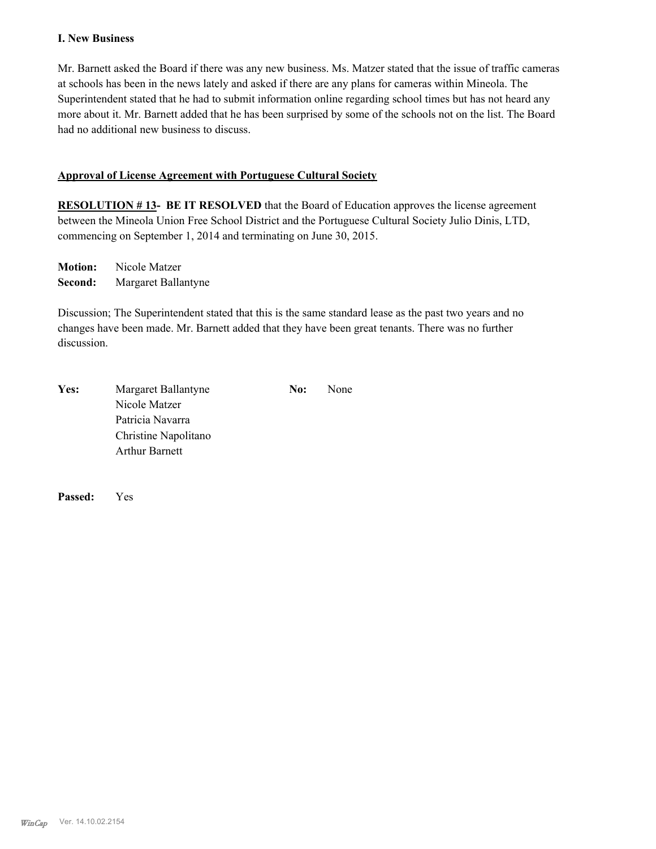## **I. New Business**

Mr. Barnett asked the Board if there was any new business. Ms. Matzer stated that the issue of traffic cameras at schools has been in the news lately and asked if there are any plans for cameras within Mineola. The Superintendent stated that he had to submit information online regarding school times but has not heard any more about it. Mr. Barnett added that he has been surprised by some of the schools not on the list. The Board had no additional new business to discuss.

## **Approval of License Agreement with Portuguese Cultural Society**

**RESOLUTION # 13- BE IT RESOLVED** that the Board of Education approves the license agreement between the Mineola Union Free School District and the Portuguese Cultural Society Julio Dinis, LTD, commencing on September 1, 2014 and terminating on June 30, 2015.

**Motion:** Nicole Matzer **Second:** Margaret Ballantyne

Discussion; The Superintendent stated that this is the same standard lease as the past two years and no changes have been made. Mr. Barnett added that they have been great tenants. There was no further discussion.

| Yes: | Margaret Ballantyne   | No: | None |
|------|-----------------------|-----|------|
|      | Nicole Matzer         |     |      |
|      | Patricia Navarra      |     |      |
|      | Christine Napolitano  |     |      |
|      | <b>Arthur Barnett</b> |     |      |

**Passed:** Yes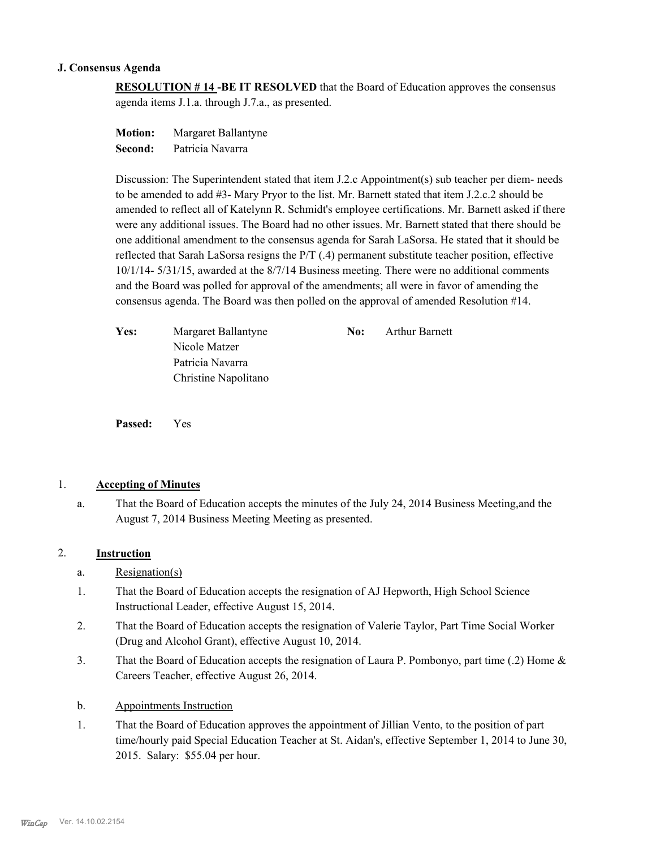## **J. Consensus Agenda**

**RESOLUTION # 14 -BE IT RESOLVED** that the Board of Education approves the consensus agenda items J.1.a. through J.7.a., as presented.

**Motion:** Margaret Ballantyne **Second:** Patricia Navarra

Discussion: The Superintendent stated that item J.2.c Appointment(s) sub teacher per diem- needs to be amended to add #3- Mary Pryor to the list. Mr. Barnett stated that item J.2.c.2 should be amended to reflect all of Katelynn R. Schmidt's employee certifications. Mr. Barnett asked if there were any additional issues. The Board had no other issues. Mr. Barnett stated that there should be one additional amendment to the consensus agenda for Sarah LaSorsa. He stated that it should be reflected that Sarah LaSorsa resigns the P/T (.4) permanent substitute teacher position, effective 10/1/14- 5/31/15, awarded at the 8/7/14 Business meeting. There were no additional comments and the Board was polled for approval of the amendments; all were in favor of amending the consensus agenda. The Board was then polled on the approval of amended Resolution #14.

| Yes: | Margaret Ballantyne  | No: | Arthur Barnett |
|------|----------------------|-----|----------------|
|      | Nicole Matzer        |     |                |
|      | Patricia Navarra     |     |                |
|      | Christine Napolitano |     |                |

**Passed:** Yes

## 1. **Accepting of Minutes**

That the Board of Education accepts the minutes of the July 24, 2014 Business Meeting,and the August 7, 2014 Business Meeting Meeting as presented. a.

#### 2. **Instruction**

- a. Resignation(s)
- That the Board of Education accepts the resignation of AJ Hepworth, High School Science Instructional Leader, effective August 15, 2014. 1.
- That the Board of Education accepts the resignation of Valerie Taylor, Part Time Social Worker (Drug and Alcohol Grant), effective August 10, 2014. 2.
- That the Board of Education accepts the resignation of Laura P. Pombonyo, part time (.2) Home  $\&$ Careers Teacher, effective August 26, 2014. 3.
- b. Appointments Instruction
- That the Board of Education approves the appointment of Jillian Vento, to the position of part time/hourly paid Special Education Teacher at St. Aidan's, effective September 1, 2014 to June 30, 2015. Salary: \$55.04 per hour. 1.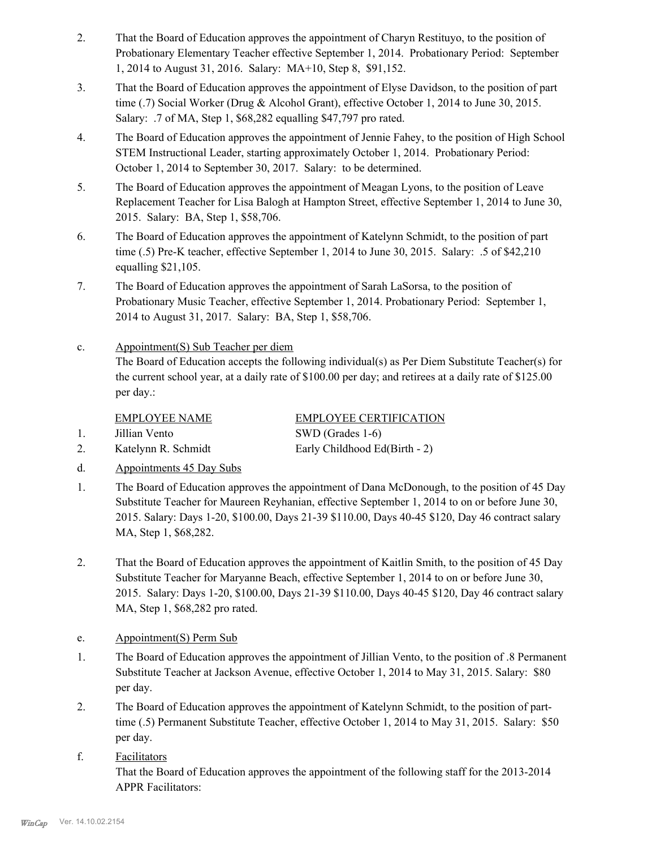- That the Board of Education approves the appointment of Charyn Restituyo, to the position of Probationary Elementary Teacher effective September 1, 2014. Probationary Period: September 1, 2014 to August 31, 2016. Salary: MA+10, Step 8, \$91,152. 2.
- That the Board of Education approves the appointment of Elyse Davidson, to the position of part time (.7) Social Worker (Drug & Alcohol Grant), effective October 1, 2014 to June 30, 2015. Salary: .7 of MA, Step 1, \$68,282 equalling \$47,797 pro rated. 3.
- The Board of Education approves the appointment of Jennie Fahey, to the position of High School STEM Instructional Leader, starting approximately October 1, 2014. Probationary Period: October 1, 2014 to September 30, 2017. Salary: to be determined. 4.
- The Board of Education approves the appointment of Meagan Lyons, to the position of Leave Replacement Teacher for Lisa Balogh at Hampton Street, effective September 1, 2014 to June 30, 2015. Salary: BA, Step 1, \$58,706. 5.
- The Board of Education approves the appointment of Katelynn Schmidt, to the position of part time (.5) Pre-K teacher, effective September 1, 2014 to June 30, 2015. Salary: .5 of \$42,210 equalling \$21,105. 6.
- The Board of Education approves the appointment of Sarah LaSorsa, to the position of Probationary Music Teacher, effective September 1, 2014. Probationary Period: September 1, 2014 to August 31, 2017. Salary: BA, Step 1, \$58,706. 7.
- Appointment(S) Sub Teacher per diem The Board of Education accepts the following individual(s) as Per Diem Substitute Teacher(s) for the current school year, at a daily rate of \$100.00 per day; and retirees at a daily rate of \$125.00 per day.: c.

EMPLOYEE NAME EMPLOYEE CERTIFICATION

1. Jillian Vento SWD (Grades 1-6)

2. Katelynn R. Schmidt Early Childhood Ed(Birth - 2)

- d. Appointments 45 Day Subs
- The Board of Education approves the appointment of Dana McDonough, to the position of 45 Day Substitute Teacher for Maureen Reyhanian, effective September 1, 2014 to on or before June 30, 2015. Salary: Days 1-20, \$100.00, Days 21-39 \$110.00, Days 40-45 \$120, Day 46 contract salary MA, Step 1, \$68,282. 1.
- That the Board of Education approves the appointment of Kaitlin Smith, to the position of 45 Day Substitute Teacher for Maryanne Beach, effective September 1, 2014 to on or before June 30, 2015. Salary: Days 1-20, \$100.00, Days 21-39 \$110.00, Days 40-45 \$120, Day 46 contract salary MA, Step 1, \$68,282 pro rated. 2.
- e. Appointment(S) Perm Sub
- The Board of Education approves the appointment of Jillian Vento, to the position of .8 Permanent Substitute Teacher at Jackson Avenue, effective October 1, 2014 to May 31, 2015. Salary: \$80 per day. 1.
- The Board of Education approves the appointment of Katelynn Schmidt, to the position of parttime (.5) Permanent Substitute Teacher, effective October 1, 2014 to May 31, 2015. Salary: \$50 per day. 2.
- Facilitators That the Board of Education approves the appointment of the following staff for the 2013-2014 APPR Facilitators: f.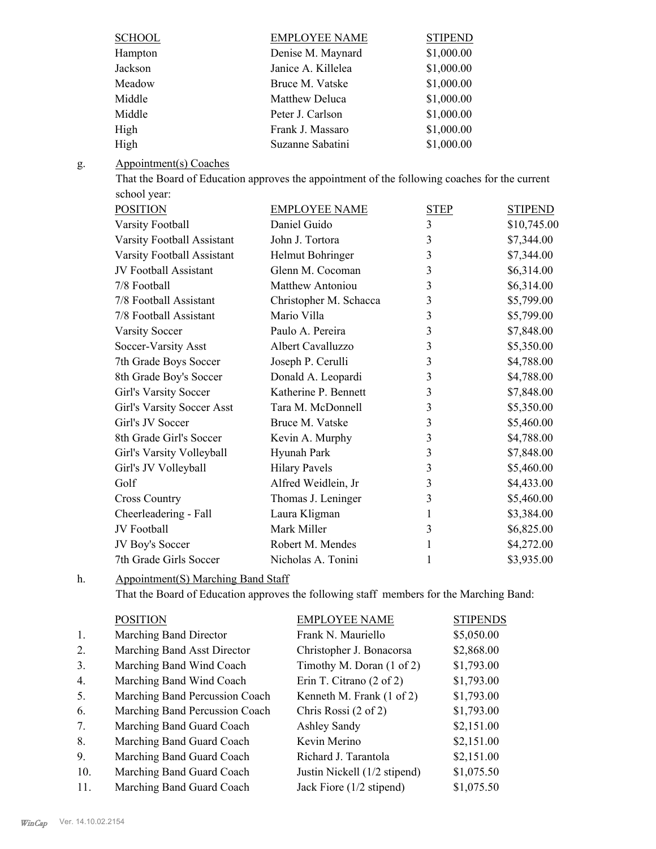| <b>SCHOOL</b> | <b>EMPLOYEE NAME</b> | <b>STIPEND</b> |
|---------------|----------------------|----------------|
| Hampton       | Denise M. Maynard    | \$1,000.00     |
| Jackson       | Janice A. Killelea   | \$1,000.00     |
| Meadow        | Bruce M. Vatske      | \$1,000.00     |
| Middle        | Matthew Deluca       | \$1,000.00     |
| Middle        | Peter J. Carlson     | \$1,000.00     |
| High          | Frank J. Massaro     | \$1,000.00     |
| High          | Suzanne Sabatini     | \$1,000.00     |

#### Appointment(s) Coaches g.

That the Board of Education approves the appointment of the following coaches for the current school year:

| <b>POSITION</b>            | <b>EMPLOYEE NAME</b>    | <b>STEP</b> | <b>STIPEND</b> |
|----------------------------|-------------------------|-------------|----------------|
| Varsity Football           | Daniel Guido            | 3           | \$10,745.00    |
| Varsity Football Assistant | John J. Tortora         | 3           | \$7,344.00     |
| Varsity Football Assistant | Helmut Bohringer        | 3           | \$7,344.00     |
| JV Football Assistant      | Glenn M. Cocoman        | 3           | \$6,314.00     |
| 7/8 Football               | <b>Matthew Antoniou</b> | 3           | \$6,314.00     |
| 7/8 Football Assistant     | Christopher M. Schacca  | 3           | \$5,799.00     |
| 7/8 Football Assistant     | Mario Villa             | 3           | \$5,799.00     |
| <b>Varsity Soccer</b>      | Paulo A. Pereira        | 3           | \$7,848.00     |
| Soccer-Varsity Asst        | Albert Cavalluzzo       | 3           | \$5,350.00     |
| 7th Grade Boys Soccer      | Joseph P. Cerulli       | 3           | \$4,788.00     |
| 8th Grade Boy's Soccer     | Donald A. Leopardi      | 3           | \$4,788.00     |
| Girl's Varsity Soccer      | Katherine P. Bennett    | 3           | \$7,848.00     |
| Girl's Varsity Soccer Asst | Tara M. McDonnell       | 3           | \$5,350.00     |
| Girl's JV Soccer           | Bruce M. Vatske         | 3           | \$5,460.00     |
| 8th Grade Girl's Soccer    | Kevin A. Murphy         | 3           | \$4,788.00     |
| Girl's Varsity Volleyball  | Hyunah Park             | 3           | \$7,848.00     |
| Girl's JV Volleyball       | <b>Hilary Pavels</b>    | 3           | \$5,460.00     |
| Golf                       | Alfred Weidlein, Jr     | 3           | \$4,433.00     |
| <b>Cross Country</b>       | Thomas J. Leninger      | 3           | \$5,460.00     |
| Cheerleadering - Fall      | Laura Kligman           | 1           | \$3,384.00     |
| JV Football                | Mark Miller             | 3           | \$6,825.00     |
| JV Boy's Soccer            | Robert M. Mendes        | 1           | \$4,272.00     |
| 7th Grade Girls Soccer     | Nicholas A. Tonini      | 1           | \$3,935.00     |

Appointment(S) Marching Band Staff h.

That the Board of Education approves the following staff members for the Marching Band:

|     | <b>POSITION</b>                | <b>EMPLOYEE NAME</b>                 | <b>STIPENDS</b> |
|-----|--------------------------------|--------------------------------------|-----------------|
| 1.  | Marching Band Director         | Frank N. Mauriello                   | \$5,050.00      |
| 2.  | Marching Band Asst Director    | Christopher J. Bonacorsa             | \$2,868.00      |
| 3.  | Marching Band Wind Coach       | Timothy M. Doran $(1 \text{ of } 2)$ | \$1,793.00      |
| 4.  | Marching Band Wind Coach       | Erin T. Citrano $(2 \text{ of } 2)$  | \$1,793.00      |
| 5.  | Marching Band Percussion Coach | Kenneth M. Frank (1 of 2)            | \$1,793.00      |
| 6.  | Marching Band Percussion Coach | Chris Rossi (2 of 2)                 | \$1,793.00      |
| 7.  | Marching Band Guard Coach      | Ashley Sandy                         | \$2,151.00      |
| 8.  | Marching Band Guard Coach      | Kevin Merino                         | \$2,151.00      |
| 9.  | Marching Band Guard Coach      | Richard J. Tarantola                 | \$2,151.00      |
| 10. | Marching Band Guard Coach      | Justin Nickell (1/2 stipend)         | \$1,075.50      |
| 11. | Marching Band Guard Coach      | Jack Fiore (1/2 stipend)             | \$1,075.50      |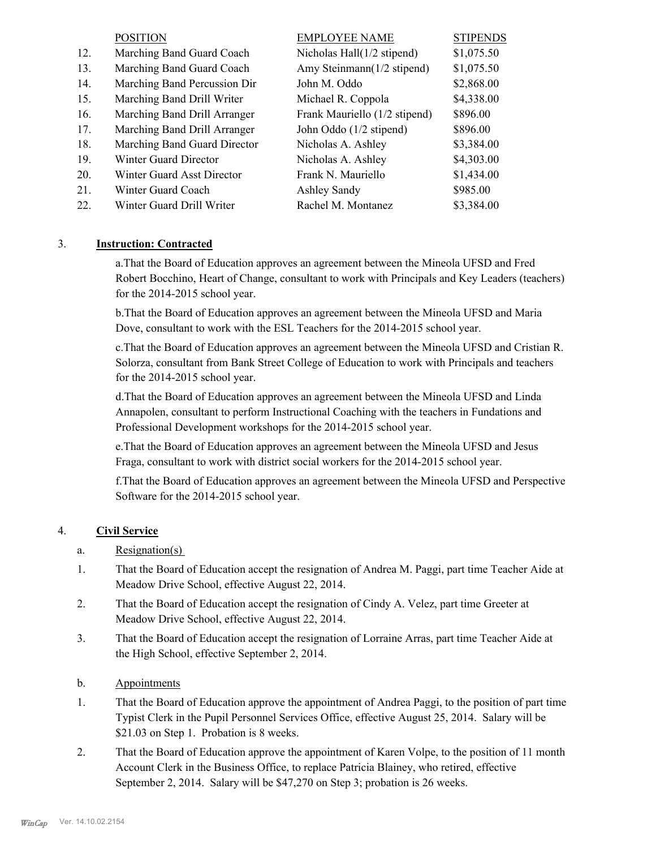|     | <b>POSITION</b>              | <b>EMPLOYEE NAME</b>          | <b>STIPENDS</b> |
|-----|------------------------------|-------------------------------|-----------------|
| 12. | Marching Band Guard Coach    | Nicholas Hall(1/2 stipend)    | \$1,075.50      |
| 13. | Marching Band Guard Coach    | Amy Steinmann(1/2 stipend)    | \$1,075.50      |
| 14. | Marching Band Percussion Dir | John M. Oddo                  | \$2,868.00      |
| 15. | Marching Band Drill Writer   | Michael R. Coppola            | \$4,338.00      |
| 16. | Marching Band Drill Arranger | Frank Mauriello (1/2 stipend) | \$896.00        |
| 17. | Marching Band Drill Arranger | John Oddo (1/2 stipend)       | \$896.00        |
| 18. | Marching Band Guard Director | Nicholas A. Ashley            | \$3,384.00      |
| 19. | Winter Guard Director        | Nicholas A. Ashley            | \$4,303.00      |
| 20. | Winter Guard Asst Director   | Frank N. Mauriello            | \$1,434.00      |
| 21. | Winter Guard Coach           | Ashley Sandy                  | \$985.00        |
| 22. | Winter Guard Drill Writer    | Rachel M. Montanez            | \$3,384.00      |

## 3. **Instruction: Contracted**

a.That the Board of Education approves an agreement between the Mineola UFSD and Fred Robert Bocchino, Heart of Change, consultant to work with Principals and Key Leaders (teachers) for the 2014-2015 school year.

b.That the Board of Education approves an agreement between the Mineola UFSD and Maria Dove, consultant to work with the ESL Teachers for the 2014-2015 school year.

c.That the Board of Education approves an agreement between the Mineola UFSD and Cristian R. Solorza, consultant from Bank Street College of Education to work with Principals and teachers for the 2014-2015 school year.

d.That the Board of Education approves an agreement between the Mineola UFSD and Linda Annapolen, consultant to perform Instructional Coaching with the teachers in Fundations and Professional Development workshops for the 2014-2015 school year.

e.That the Board of Education approves an agreement between the Mineola UFSD and Jesus Fraga, consultant to work with district social workers for the 2014-2015 school year.

f.That the Board of Education approves an agreement between the Mineola UFSD and Perspective Software for the 2014-2015 school year.

## 4. **Civil Service**

- a. Resignation(s)
- That the Board of Education accept the resignation of Andrea M. Paggi, part time Teacher Aide at Meadow Drive School, effective August 22, 2014. 1.
- That the Board of Education accept the resignation of Cindy A. Velez, part time Greeter at Meadow Drive School, effective August 22, 2014. 2.
- That the Board of Education accept the resignation of Lorraine Arras, part time Teacher Aide at the High School, effective September 2, 2014. 3.
- b. Appointments
- That the Board of Education approve the appointment of Andrea Paggi, to the position of part time Typist Clerk in the Pupil Personnel Services Office, effective August 25, 2014. Salary will be \$21.03 on Step 1. Probation is 8 weeks. 1.
- That the Board of Education approve the appointment of Karen Volpe, to the position of 11 month Account Clerk in the Business Office, to replace Patricia Blainey, who retired, effective September 2, 2014. Salary will be \$47,270 on Step 3; probation is 26 weeks. 2.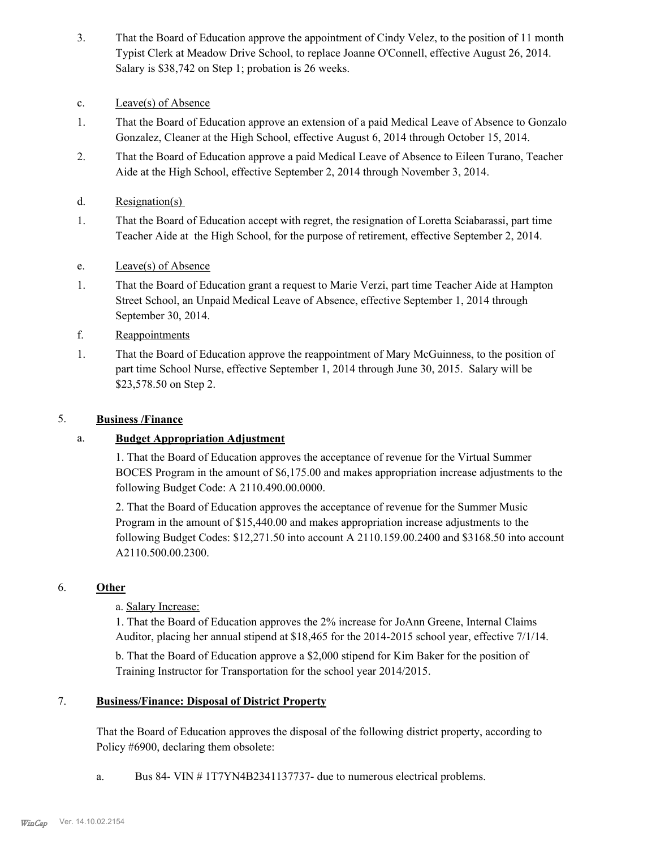- That the Board of Education approve the appointment of Cindy Velez, to the position of 11 month Typist Clerk at Meadow Drive School, to replace Joanne O'Connell, effective August 26, 2014. Salary is \$38,742 on Step 1; probation is 26 weeks. 3.
- c. Leave(s) of Absence
- That the Board of Education approve an extension of a paid Medical Leave of Absence to Gonzalo Gonzalez, Cleaner at the High School, effective August 6, 2014 through October 15, 2014. 1.
- That the Board of Education approve a paid Medical Leave of Absence to Eileen Turano, Teacher Aide at the High School, effective September 2, 2014 through November 3, 2014. 2.
- d. Resignation(s)
- That the Board of Education accept with regret, the resignation of Loretta Sciabarassi, part time Teacher Aide at the High School, for the purpose of retirement, effective September 2, 2014. 1.
- e. Leave(s) of Absence
- That the Board of Education grant a request to Marie Verzi, part time Teacher Aide at Hampton Street School, an Unpaid Medical Leave of Absence, effective September 1, 2014 through September 30, 2014. 1.
- f. Reappointments
- That the Board of Education approve the reappointment of Mary McGuinness, to the position of part time School Nurse, effective September 1, 2014 through June 30, 2015. Salary will be \$23,578.50 on Step 2. 1.

## 5. **Business /Finance**

## a. **Budget Appropriation Adjustment**

1. That the Board of Education approves the acceptance of revenue for the Virtual Summer BOCES Program in the amount of \$6,175.00 and makes appropriation increase adjustments to the following Budget Code: A 2110.490.00.0000.

2. That the Board of Education approves the acceptance of revenue for the Summer Music Program in the amount of \$15,440.00 and makes appropriation increase adjustments to the following Budget Codes: \$12,271.50 into account A 2110.159.00.2400 and \$3168.50 into account A2110.500.00.2300.

## 6. **Other**

a. Salary Increase:

1. That the Board of Education approves the 2% increase for JoAnn Greene, Internal Claims Auditor, placing her annual stipend at \$18,465 for the 2014-2015 school year, effective 7/1/14.

b. That the Board of Education approve a \$2,000 stipend for Kim Baker for the position of Training Instructor for Transportation for the school year 2014/2015.

#### **Business/Finance: Disposal of District Property** 7.

That the Board of Education approves the disposal of the following district property, according to Policy #6900, declaring them obsolete:

a. Bus 84- VIN # 1T7YN4B2341137737- due to numerous electrical problems.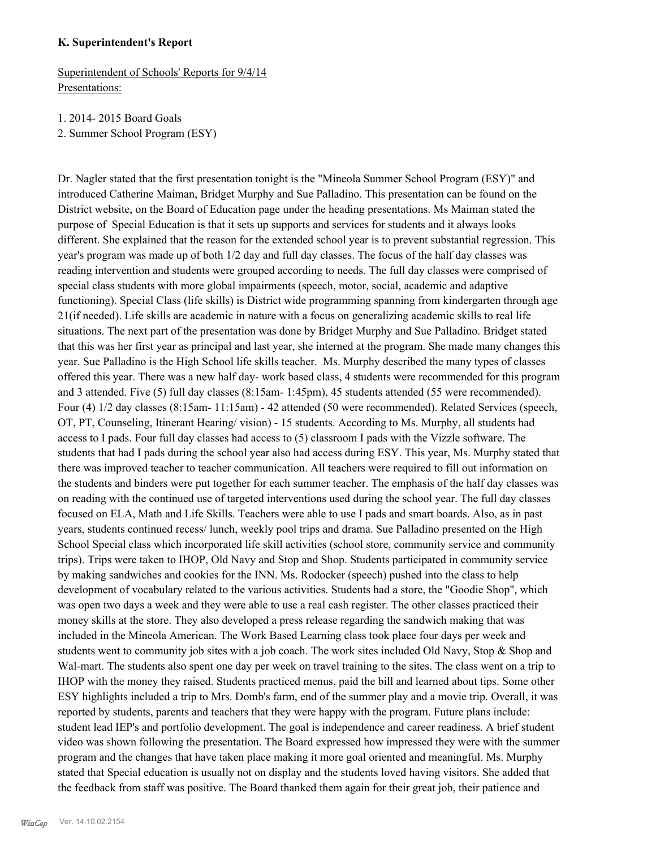#### **K. Superintendent's Report**

Superintendent of Schools' Reports for 9/4/14 Presentations:

1. 2014- 2015 Board Goals

2. Summer School Program (ESY)

Dr. Nagler stated that the first presentation tonight is the "Mineola Summer School Program (ESY)" and introduced Catherine Maiman, Bridget Murphy and Sue Palladino. This presentation can be found on the District website, on the Board of Education page under the heading presentations. Ms Maiman stated the purpose of Special Education is that it sets up supports and services for students and it always looks different. She explained that the reason for the extended school year is to prevent substantial regression. This year's program was made up of both 1/2 day and full day classes. The focus of the half day classes was reading intervention and students were grouped according to needs. The full day classes were comprised of special class students with more global impairments (speech, motor, social, academic and adaptive functioning). Special Class (life skills) is District wide programming spanning from kindergarten through age 21(if needed). Life skills are academic in nature with a focus on generalizing academic skills to real life situations. The next part of the presentation was done by Bridget Murphy and Sue Palladino. Bridget stated that this was her first year as principal and last year, she interned at the program. She made many changes this year. Sue Palladino is the High School life skills teacher. Ms. Murphy described the many types of classes offered this year. There was a new half day- work based class, 4 students were recommended for this program and 3 attended. Five (5) full day classes (8:15am- 1:45pm), 45 students attended (55 were recommended). Four (4) 1/2 day classes (8:15am- 11:15am) - 42 attended (50 were recommended). Related Services (speech, OT, PT, Counseling, Itinerant Hearing/ vision) - 15 students. According to Ms. Murphy, all students had access to I pads. Four full day classes had access to (5) classroom I pads with the Vizzle software. The students that had I pads during the school year also had access during ESY. This year, Ms. Murphy stated that there was improved teacher to teacher communication. All teachers were required to fill out information on the students and binders were put together for each summer teacher. The emphasis of the half day classes was on reading with the continued use of targeted interventions used during the school year. The full day classes focused on ELA, Math and Life Skills. Teachers were able to use I pads and smart boards. Also, as in past years, students continued recess/ lunch, weekly pool trips and drama. Sue Palladino presented on the High School Special class which incorporated life skill activities (school store, community service and community trips). Trips were taken to IHOP, Old Navy and Stop and Shop. Students participated in community service by making sandwiches and cookies for the INN. Ms. Rodocker (speech) pushed into the class to help development of vocabulary related to the various activities. Students had a store, the "Goodie Shop", which was open two days a week and they were able to use a real cash register. The other classes practiced their money skills at the store. They also developed a press release regarding the sandwich making that was included in the Mineola American. The Work Based Learning class took place four days per week and students went to community job sites with a job coach. The work sites included Old Navy, Stop & Shop and Wal-mart. The students also spent one day per week on travel training to the sites. The class went on a trip to IHOP with the money they raised. Students practiced menus, paid the bill and learned about tips. Some other ESY highlights included a trip to Mrs. Domb's farm, end of the summer play and a movie trip. Overall, it was reported by students, parents and teachers that they were happy with the program. Future plans include: student lead IEP's and portfolio development. The goal is independence and career readiness. A brief student video was shown following the presentation. The Board expressed how impressed they were with the summer program and the changes that have taken place making it more goal oriented and meaningful. Ms. Murphy stated that Special education is usually not on display and the students loved having visitors. She added that the feedback from staff was positive. The Board thanked them again for their great job, their patience and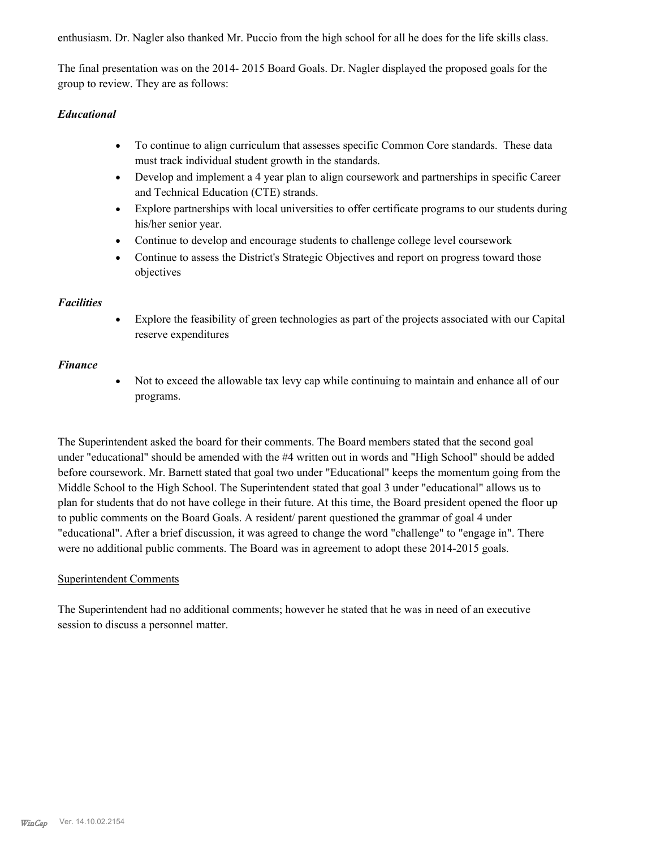enthusiasm. Dr. Nagler also thanked Mr. Puccio from the high school for all he does for the life skills class.

The final presentation was on the 2014- 2015 Board Goals. Dr. Nagler displayed the proposed goals for the group to review. They are as follows:

## *Educational*

- · To continue to align curriculum that assesses specific Common Core standards. These data must track individual student growth in the standards.
- · Develop and implement a 4 year plan to align coursework and partnerships in specific Career and Technical Education (CTE) strands.
- · Explore partnerships with local universities to offer certificate programs to our students during his/her senior year.
- · Continue to develop and encourage students to challenge college level coursework
- Continue to assess the District's Strategic Objectives and report on progress toward those objectives

## *Facilities*

· Explore the feasibility of green technologies as part of the projects associated with our Capital reserve expenditures

## *Finance*

• Not to exceed the allowable tax levy cap while continuing to maintain and enhance all of our programs.

The Superintendent asked the board for their comments. The Board members stated that the second goal under "educational" should be amended with the #4 written out in words and "High School" should be added before coursework. Mr. Barnett stated that goal two under "Educational" keeps the momentum going from the Middle School to the High School. The Superintendent stated that goal 3 under "educational" allows us to plan for students that do not have college in their future. At this time, the Board president opened the floor up to public comments on the Board Goals. A resident/ parent questioned the grammar of goal 4 under "educational". After a brief discussion, it was agreed to change the word "challenge" to "engage in". There were no additional public comments. The Board was in agreement to adopt these 2014-2015 goals.

#### Superintendent Comments

The Superintendent had no additional comments; however he stated that he was in need of an executive session to discuss a personnel matter.